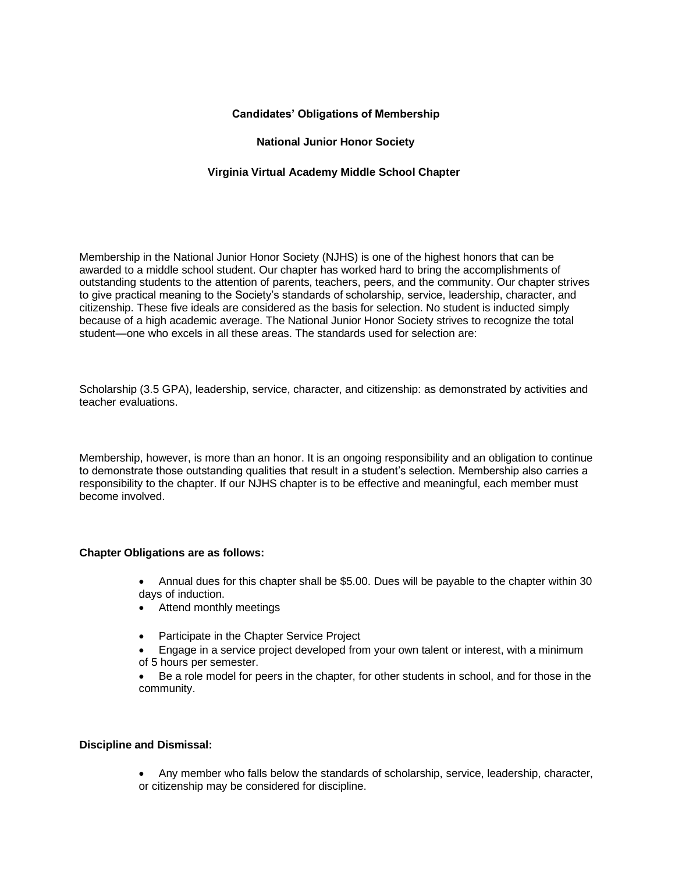# **Candidates' Obligations of Membership**

### **National Junior Honor Society**

# **Virginia Virtual Academy Middle School Chapter**

Membership in the National Junior Honor Society (NJHS) is one of the highest honors that can be awarded to a middle school student. Our chapter has worked hard to bring the accomplishments of outstanding students to the attention of parents, teachers, peers, and the community. Our chapter strives to give practical meaning to the Society's standards of scholarship, service, leadership, character, and citizenship. These five ideals are considered as the basis for selection. No student is inducted simply because of a high academic average. The National Junior Honor Society strives to recognize the total student—one who excels in all these areas. The standards used for selection are:

Scholarship (3.5 GPA), leadership, service, character, and citizenship: as demonstrated by activities and teacher evaluations.

Membership, however, is more than an honor. It is an ongoing responsibility and an obligation to continue to demonstrate those outstanding qualities that result in a student's selection. Membership also carries a responsibility to the chapter. If our NJHS chapter is to be effective and meaningful, each member must become involved.

#### **Chapter Obligations are as follows:**

- Annual dues for this chapter shall be \$5.00. Dues will be payable to the chapter within 30 days of induction.
- Attend monthly meetings
- Participate in the Chapter Service Project
- Engage in a service project developed from your own talent or interest, with a minimum of 5 hours per semester.
- Be a role model for peers in the chapter, for other students in school, and for those in the community.

#### **Discipline and Dismissal:**

• Any member who falls below the standards of scholarship, service, leadership, character, or citizenship may be considered for discipline.